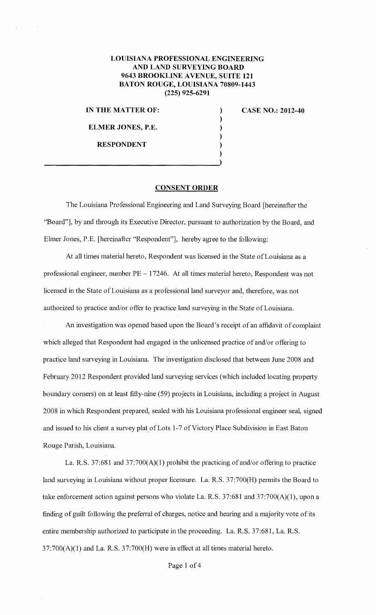## **LOUISIANA PROFESSIONAL ENGINEERING AND LAND SURVEYING BOARD 9643 BROOKLINE AVENUE, SUITE 121 BATON ROUGE, LOUISIANA 70809-1443 (225) 925-6291**

) ) ) ) )

**IN THE MATTER OF:** 

**ELMER JONES, P.E.** 

**RESPONDENT** 

)  $\frac{1}{2}$ 

**CASE NO.: 2012-40** 

## **CONSENT ORDER**

The Louisiana Professional Engineering and Land Surveying Board [hereinafter the "Board"], by and through its Executive Director, pursuant to authorization by the Board, and Ehner Jones, P.E. [hereinafter "Respondent"], hereby agree to the following:

At all times material hereto, Respondent was licensed in the State of Louisiana as a professional engineer, number PE - 17246. At all times material hereto, Respondent was not licensed in the State of Louisiana as a professional land surveyor and, therefore, was not authorized to practice and/or offer to practice land surveying in the State of Louisiana.

An investigation was opened based upon the Board's receipt of an affidavit of complaint which alleged that Respondent had engaged in the unlicensed practice of and/or offering to practice land surveying in Louisiana. The investigation disclosed that between June 2008 and February 2012 Respondent provided land surveying services (which included locating property boundary corners) on at least fifty-nine (59) projects in Louisiana, including a project in August 2008 in which Respondent prepared, sealed with his Louisiana professional engineer seal, signed and issued to his client a survey plat of Lots 1-7 of Victory Place Subdivision in East Baton Rouge Parish, Louisiana.

La. R.S. 37:681 and 37:700(A)(l) prohibit the practicing of and/or offering to practice land surveying in Louisiana without proper licensure. La. R.S. 37:700(H) pennits the Board to take enforcement action against persons who violate La. R.S. 37:681 and 37:700(A)(1), upon a finding of guilt following the preferral of charges, notice and hearing and a majority vote of its entire membership authorized to participate in the proceeding. La. R.S. 37:681, La. R.S.  $37:700(A)(1)$  and La. R.S.  $37:700(H)$  were in effect at all times material hereto.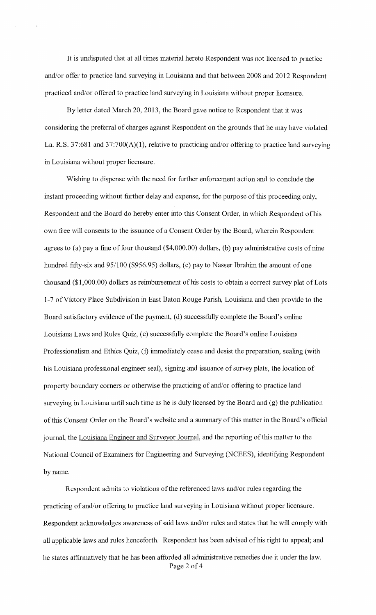It is undisputed that at all times material hereto Respondent was not licensed to practice and/or offer to practice land surveying in Louisiana and that between 2008 and 2012 Respondent practiced and/or offered to practice land surveying in Louisiana without proper licensure.

By letter dated March 20, 2013, the Board gave notice to Respondent that it was considering the preferral of charges against Respondent on the grounds that he may have violated La. R.S. 37:681 and 37:700(A)(1), relative to practicing and/or offering to practice land surveying in Louisiana without proper licensure.

Wishing to dispense with the need for fhrther enforcement action and to conclude the instant proceeding without further delay and expense, for the purpose of this proceeding only, Respondent and the Board do hereby enter into this Consent Order, in which Respondent of his own free will consents to the issuance of a Consent Order by the Board, wherein Respondent agrees to (a) pay a fine of four thousand  $(\$4,000.00)$  dollars, (b) pay administrative costs of nine hundred fifty-six and 95/100 (\$956.95) dollars, (c) pay to Nasser Ibrahim the amount of one thousand (\$1 ,000.00) dollars as reimbursement of his costs to obtain a correct survey plat of Lots 1-7 of Victory Place Subdivision in East Baton Rouge Parish, Louisiana and then provide to the Board satisfactory evidence of the payment, (d) successfully complete the Board's online Louisiana Laws and Rules Quiz, (e) successfully complete the Board's online Louisiana Professionalism and Ethics Quiz, (f) immediately cease and desist the preparation, sealing (with his Louisiana professional engineer seal), signing and issuance of survey plats, the location of property boundary corners or otherwise the practicing of and/or offering to practice land surveying in Louisiana until such time as he is duly licensed by the Board and (g) the publication oftllis Consent Order on the Board's website and a summary of this matter in the Board's official journal, the Louisiana Engineer and Surveyor Journal, and the reporting of this matter to the National Council of Examiners for Engineering and Surveying (NCEES), identifying Respondent by name.

Respondent admits to violations of the referenced laws and/or rules regarding the practicing of and/or offering to practice land surveying in Louisiana without proper licensure. Respondent acknowledges awareness of said laws and/or rules and states that he will comply with all applicable laws and rules henceforth. Respondent has been advised of his right to appeal; and he states affinnatively that he has been afforded all administrative remedies due it under the law. Page 2 of 4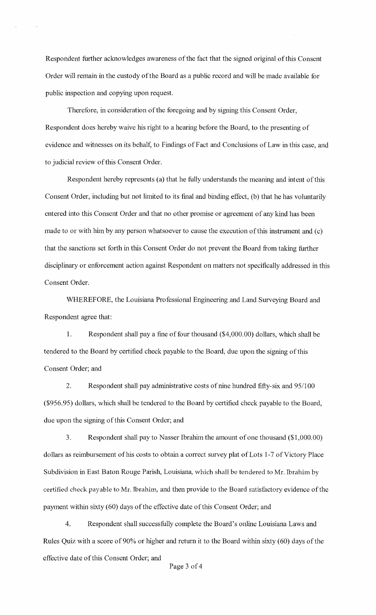Respondent further acknowledges awareness of the fact that the signed original of this Consent Order will remain in the custody of the Board as a public record and will be made available for public inspection and copying upon request.

Therefore, in consideration of the foregoing and by signing this Consent Order, Respondent does hereby waive his right to a hearing before the Board, to the presenting of evidence and witnesses on its behalf, to Findings of Fact and Conclusions of Law in this case, and to judicial review of this Consent Order.

Respondent hereby represents (a) that he fully understands the meaning and intent of this Consent Order, including but not limited to its final and binding effect, (b) that he has voluntarily entered into this Consent Order and that no other promise or agreement of any kind has been made to or with him by any person whatsoever to cause the execution of this instrument and (c) that the sanctions set forth in this Consent Order do not prevent the Board from taking further disciplinary or enforcement action against Respondent on matters not specifically addressed in this Consent Order.

WHEREFORE, the Louisiana Professional Engineering and Land Surveying Board and Respondent agree that:

1. Respondent shall pay a fine of four thousand (\$4,000.00) dollars, which shall be tendered to the Board by certified check payable to the Board, due upon the signing of this Consent Order; and

2. Respondent shall pay administrative costs of nine hundred fifty-six and 95/100 (\$956.95) dollars, which shall be tendered to the Board by certified check payable to the Board, due upon the signing of this Consent Order; and

3. Respondent shall pay to Nasser Ibrahim the amount of one thousand (\$1,000.00) dollars as reimbursement of his costs to obtain a correct survey plat of Lots 1-7 of Victory Place Subdivision in East Baton Rouge Parish, Louisiana, which shall be tendered to Mr. Ibrahim by certified check payable to Mr. Ibrahim, and then provide to the Board satisfactory evidence of the payment within sixty (60) days of the effective date of this Consent Order; and

4. Respondent shall successfully complete the Board's online Louisiana Laws and Rules Quiz with a score of 90% or higher and return it to the Board within sixty (60) days of the effective date of this Consent Order; and